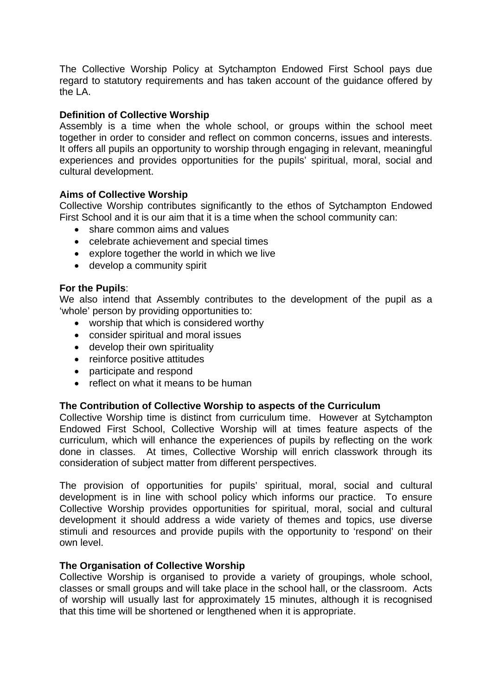The Collective Worship Policy at Sytchampton Endowed First School pays due regard to statutory requirements and has taken account of the guidance offered by the LA.

# **Definition of Collective Worship**

Assembly is a time when the whole school, or groups within the school meet together in order to consider and reflect on common concerns, issues and interests. It offers all pupils an opportunity to worship through engaging in relevant, meaningful experiences and provides opportunities for the pupils' spiritual, moral, social and cultural development.

## **Aims of Collective Worship**

Collective Worship contributes significantly to the ethos of Sytchampton Endowed First School and it is our aim that it is a time when the school community can:

- share common aims and values
- celebrate achievement and special times
- explore together the world in which we live
- develop a community spirit

## **For the Pupils**:

We also intend that Assembly contributes to the development of the pupil as a 'whole' person by providing opportunities to:

- worship that which is considered worthy
- consider spiritual and moral issues
- develop their own spirituality
- reinforce positive attitudes
- participate and respond
- reflect on what it means to be human

## **The Contribution of Collective Worship to aspects of the Curriculum**

Collective Worship time is distinct from curriculum time. However at Sytchampton Endowed First School, Collective Worship will at times feature aspects of the curriculum, which will enhance the experiences of pupils by reflecting on the work done in classes. At times, Collective Worship will enrich classwork through its consideration of subject matter from different perspectives.

The provision of opportunities for pupils' spiritual, moral, social and cultural development is in line with school policy which informs our practice. To ensure Collective Worship provides opportunities for spiritual, moral, social and cultural development it should address a wide variety of themes and topics, use diverse stimuli and resources and provide pupils with the opportunity to 'respond' on their own level.

## **The Organisation of Collective Worship**

Collective Worship is organised to provide a variety of groupings, whole school, classes or small groups and will take place in the school hall, or the classroom. Acts of worship will usually last for approximately 15 minutes, although it is recognised that this time will be shortened or lengthened when it is appropriate.